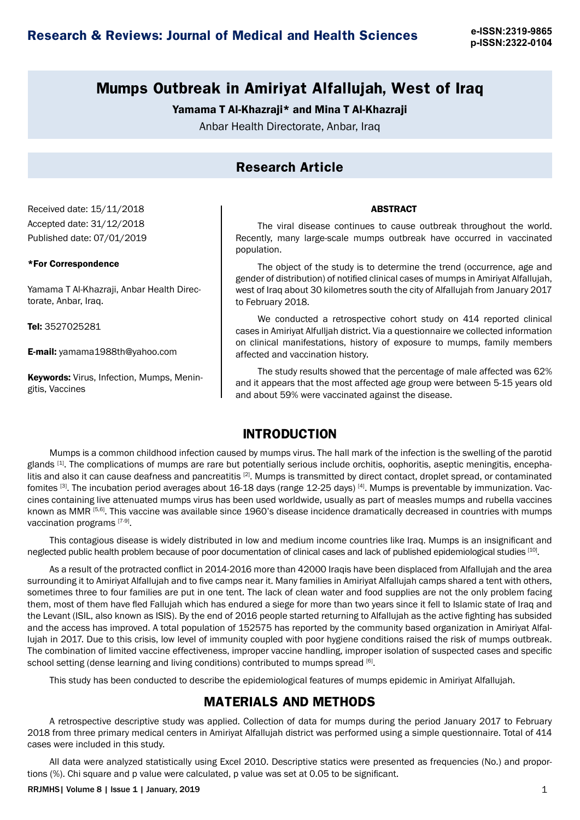**p-ISSN:2322-0104**

## **Mumps Outbreak in Amiriyat Alfallujah, West of Iraq**

#### Yamama T Al-Khazraji\* and Mina T Al-Khazraji

Anbar Health Directorate, Anbar, Iraq

## **Research Article**

Received date: 15/11/2018 Accepted date: 31/12/2018 Published date: 07/01/2019

#### \*For Correspondence

Yamama T Al-Khazraji, Anbar Health Directorate, Anbar, Iraq.

Tel: 3527025281

E-mail: yamama1988th@yahoo.com

Keywords: Virus, Infection, Mumps, Meningitis, Vaccines

The viral disease continues to cause outbreak throughout the world. Recently, many large-scale mumps outbreak have occurred in vaccinated population.

ABSTRACT

The object of the study is to determine the trend (occurrence, age and gender of distribution) of notified clinical cases of mumps in Amiriyat Alfallujah, west of Iraq about 30 kilometres south the city of Alfallujah from January 2017 to February 2018.

We conducted a retrospective cohort study on 414 reported clinical cases in Amiriyat Alfulljah district. Via a questionnaire we collected information on clinical manifestations, history of exposure to mumps, family members affected and vaccination history.

The study results showed that the percentage of male affected was 62% and it appears that the most affected age group were between 5-15 years old and about 59% were vaccinated against the disease.

#### **INTRODUCTION**

Mumps is a common childhood infection caused by mumps virus. The hall mark of the infection is the swelling of the parotid glands [1]. The complications of mumps are rare but potentially serious include orchitis, oophoritis, aseptic meningitis, encephalitis and also it can cause deafness and pancreatitis [2]. Mumps is transmitted by direct contact, droplet spread, or contaminated fomites [3]. The incubation period averages about 16-18 days (range 12-25 days) [4]. Mumps is preventable by immunization. Vaccines containing live attenuated mumps virus has been used worldwide, usually as part of measles mumps and rubella vaccines known as MMR [5,6]. This vaccine was available since 1960's disease incidence dramatically decreased in countries with mumps vaccination programs [7-9].

This contagious disease is widely distributed in low and medium income countries like Iraq. Mumps is an insignificant and neglected public health problem because of poor documentation of clinical cases and lack of published epidemiological studies [10].

As a result of the protracted conflict in 2014-2016 more than 42000 Iraqis have been displaced from Alfallujah and the area surrounding it to Amiriyat Alfallujah and to five camps near it. Many families in Amiriyat Alfallujah camps shared a tent with others, sometimes three to four families are put in one tent. The lack of clean water and food supplies are not the only problem facing them, most of them have fled Fallujah which has endured a siege for more than two years since it fell to Islamic state of Iraq and the Levant (ISIL, also known as ISIS). By the end of 2016 people started returning to Alfallujah as the active fighting has subsided and the access has improved. A total population of 152575 has reported by the community based organization in Amiriyat Alfallujah in 2017. Due to this crisis, low level of immunity coupled with poor hygiene conditions raised the risk of mumps outbreak. The combination of limited vaccine effectiveness, improper vaccine handling, improper isolation of suspected cases and specific school setting (dense learning and living conditions) contributed to mumps spread  $[6]$ .

This study has been conducted to describe the epidemiological features of mumps epidemic in Amiriyat Alfallujah.

#### **MATERIALS AND METHODS**

A retrospective descriptive study was applied. Collection of data for mumps during the period January 2017 to February 2018 from three primary medical centers in Amiriyat Alfallujah district was performed using a simple questionnaire. Total of 414 cases were included in this study.

All data were analyzed statistically using Excel 2010. Descriptive statics were presented as frequencies (No.) and proportions (%). Chi square and p value were calculated, p value was set at 0.05 to be significant.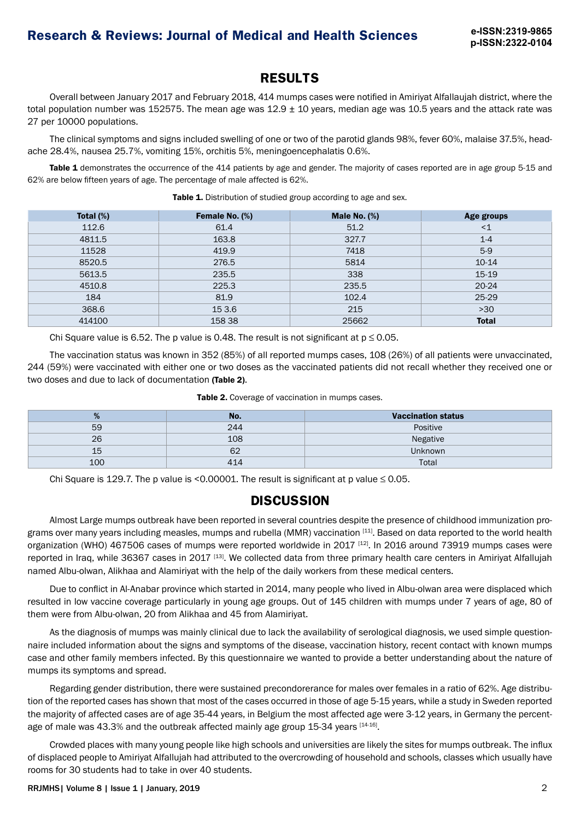#### **RESULTS**

Overall between January 2017 and February 2018, 414 mumps cases were notified in Amiriyat Alfallaujah district, where the total population number was 152575. The mean age was  $12.9 \pm 10$  years, median age was  $10.5$  years and the attack rate was 27 per 10000 populations.

The clinical symptoms and signs included swelling of one or two of the parotid glands 98%, fever 60%, malaise 37.5%, headache 28.4%, nausea 25.7%, vomiting 15%, orchitis 5%, meningoencephalatis 0.6%.

Table 1 demonstrates the occurrence of the 414 patients by age and gender. The majority of cases reported are in age group 5-15 and 62% are below fifteen years of age. The percentage of male affected is 62%.

| Total $(\%)$ | Female No. (%) | Male No. $(\%)$ | Age groups   |
|--------------|----------------|-----------------|--------------|
| 112.6        | 61.4           | 51.2            | $<$ 1        |
| 4811.5       | 163.8          | 327.7           | $1 - 4$      |
| 11528        | 419.9          | 7418            | $5-9$        |
| 8520.5       | 276.5          | 5814            | $10-14$      |
| 5613.5       | 235.5          | 338             | $15-19$      |
| 4510.8       | 225.3          | 235.5           | $20 - 24$    |
| 184          | 81.9           | 102.4           | 25-29        |
| 368.6        | 15 3.6         | 215             | $>30$        |
| 414100       | 158 38         | 25662           | <b>Total</b> |

Table 1. Distribution of studied group according to age and sex.

Chi Square value is 6.52. The p value is 0.48. The result is not significant at  $p \le 0.05$ .

The vaccination status was known in 352 (85%) of all reported mumps cases, 108 (26%) of all patients were unvaccinated, 244 (59%) were vaccinated with either one or two doses as the vaccinated patients did not recall whether they received one or two doses and due to lack of documentation (Table 2).

| %   | No. | <b>Vaccination status</b> |
|-----|-----|---------------------------|
| 59  | 244 | Positive                  |
| 26  | 108 | Negative                  |
| 15  | 62  | <b>Unknown</b>            |
| 100 |     | Total                     |

|  |  |  | Table 2. Coverage of vaccination in mumps cases. |
|--|--|--|--------------------------------------------------|
|--|--|--|--------------------------------------------------|

Chi Square is 129.7. The p value is <0.00001. The result is significant at p value  $\leq$  0.05.

## **DISCUSSION**

Almost Large mumps outbreak have been reported in several countries despite the presence of childhood immunization programs over many years including measles, mumps and rubella (MMR) vaccination [11]. Based on data reported to the world health organization (WHO) 467506 cases of mumps were reported worldwide in 2017<sup>[12]</sup>. In 2016 around 73919 mumps cases were reported in Iraq, while 36367 cases in 2017 [13]. We collected data from three primary health care centers in Amiriyat Alfallujah named Albu-olwan, Alikhaa and Alamiriyat with the help of the daily workers from these medical centers.

Due to conflict in Al-Anabar province which started in 2014, many people who lived in Albu-olwan area were displaced which resulted in low vaccine coverage particularly in young age groups. Out of 145 children with mumps under 7 years of age, 80 of them were from Albu-olwan, 20 from Alikhaa and 45 from Alamiriyat.

As the diagnosis of mumps was mainly clinical due to lack the availability of serological diagnosis, we used simple questionnaire included information about the signs and symptoms of the disease, vaccination history, recent contact with known mumps case and other family members infected. By this questionnaire we wanted to provide a better understanding about the nature of mumps its symptoms and spread.

Regarding gender distribution, there were sustained precondorerance for males over females in a ratio of 62%. Age distribution of the reported cases has shown that most of the cases occurred in those of age 5-15 years, while a study in Sweden reported the majority of affected cases are of age 35-44 years, in Belgium the most affected age were 3-12 years, in Germany the percentage of male was  $43.3\%$  and the outbreak affected mainly age group 15-34 years  $[14-16]$ .

Crowded places with many young people like high schools and universities are likely the sites for mumps outbreak. The influx of displaced people to Amiriyat Alfallujah had attributed to the overcrowding of household and schools, classes which usually have rooms for 30 students had to take in over 40 students.